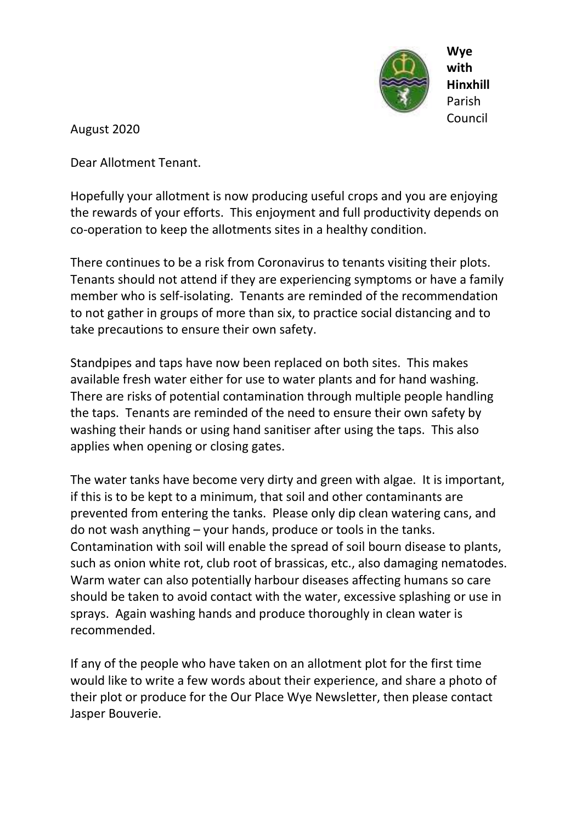

August 2020

Dear Allotment Tenant.

Hopefully your allotment is now producing useful crops and you are enjoying the rewards of your efforts. This enjoyment and full productivity depends on co-operation to keep the allotments sites in a healthy condition.

There continues to be a risk from Coronavirus to tenants visiting their plots. Tenants should not attend if they are experiencing symptoms or have a family member who is self-isolating. Tenants are reminded of the recommendation to not gather in groups of more than six, to practice social distancing and to take precautions to ensure their own safety.

Standpipes and taps have now been replaced on both sites. This makes available fresh water either for use to water plants and for hand washing. There are risks of potential contamination through multiple people handling the taps. Tenants are reminded of the need to ensure their own safety by washing their hands or using hand sanitiser after using the taps. This also applies when opening or closing gates.

The water tanks have become very dirty and green with algae. It is important, if this is to be kept to a minimum, that soil and other contaminants are prevented from entering the tanks. Please only dip clean watering cans, and do not wash anything – your hands, produce or tools in the tanks. Contamination with soil will enable the spread of soil bourn disease to plants, such as onion white rot, club root of brassicas, etc., also damaging nematodes. Warm water can also potentially harbour diseases affecting humans so care should be taken to avoid contact with the water, excessive splashing or use in sprays. Again washing hands and produce thoroughly in clean water is recommended.

If any of the people who have taken on an allotment plot for the first time would like to write a few words about their experience, and share a photo of their plot or produce for the Our Place Wye Newsletter, then please contact Jasper Bouverie.